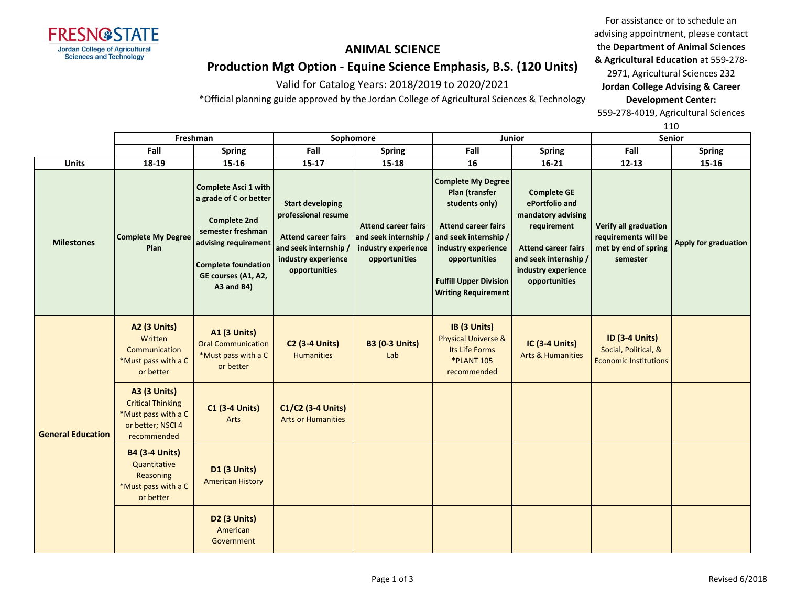

**A3 (3 Units)** Critical Thinking \*Must pass with a C or better; NSCI 4 recommended

**B4 (3-4 Units)** Quantitative **Reasoning** \*Must pass with a C or better

**General Education**

**C1 (3-4 Units)** Arts

**D1 (3 Units)** American History

> **D2 (3 Units)** American Government

**C1/C2 (3-4 Units)** Arts or Humanities

# **ANIMAL SCIENCE**

For assistance or to schedule an advising appointment, please contact the **Department of Animal Sciences** 

# **Production Mgt Option - Equine Science Emphasis, B.S. (120 Units)**

Valid for Catalog Years: 2018/2019 to 2020/2021

\*Official planning guide approved by the Jordan College of Agricultural Sciences & Technology

**& Agricultural Education** at 559-278- 2971, Agricultural Sciences 232 **Jordan College Advising & Career Development Center:**

559-278-4019, Agricultural Sciences

|                   |                                                                                     |                                                                                                                                                                                            |                                                                                                                                               |                                                                                             |                                                                                                                                                                                                                             |                                                                                                                                                                          |                                                                                          | 110                  |
|-------------------|-------------------------------------------------------------------------------------|--------------------------------------------------------------------------------------------------------------------------------------------------------------------------------------------|-----------------------------------------------------------------------------------------------------------------------------------------------|---------------------------------------------------------------------------------------------|-----------------------------------------------------------------------------------------------------------------------------------------------------------------------------------------------------------------------------|--------------------------------------------------------------------------------------------------------------------------------------------------------------------------|------------------------------------------------------------------------------------------|----------------------|
|                   | Freshman                                                                            |                                                                                                                                                                                            | Sophomore                                                                                                                                     |                                                                                             | Junior                                                                                                                                                                                                                      |                                                                                                                                                                          | <b>Senior</b>                                                                            |                      |
|                   | Fall                                                                                | <b>Spring</b>                                                                                                                                                                              | Fall                                                                                                                                          | <b>Spring</b>                                                                               | Fall                                                                                                                                                                                                                        | Spring                                                                                                                                                                   | Fall                                                                                     | <b>Spring</b>        |
| <b>Units</b>      | 18-19                                                                               | $15 - 16$                                                                                                                                                                                  | $15 - 17$                                                                                                                                     | 15-18                                                                                       | 16                                                                                                                                                                                                                          | $16 - 21$                                                                                                                                                                | $12 - 13$                                                                                | 15-16                |
| <b>Milestones</b> | <b>Complete My Degree</b><br>Plan                                                   | Complete Asci 1 with<br>a grade of C or better<br><b>Complete 2nd</b><br>semester freshman<br>advising requirement<br><b>Complete foundation</b><br>GE courses (A1, A2,<br>$A3$ and $B4$ ) | <b>Start developing</b><br>professional resume<br><b>Attend career fairs</b><br>and seek internship /<br>industry experience<br>opportunities | <b>Attend career fairs</b><br>and seek internship /<br>industry experience<br>opportunities | <b>Complete My Degree</b><br>Plan (transfer<br>students only)<br><b>Attend career fairs</b><br>and seek internship /<br>industry experience<br>opportunities<br><b>Fulfill Upper Division</b><br><b>Writing Requirement</b> | <b>Complete GE</b><br>ePortfolio and<br>mandatory advising<br>requirement<br><b>Attend career fairs</b><br>and seek internship /<br>industry experience<br>opportunities | <b>Verify all graduation</b><br>requirements will be<br>met by end of spring<br>semester | Apply for graduation |
|                   | <b>A2 (3 Units)</b><br>Written<br>Communication<br>*Must pass with a C<br>or better | <b>A1 (3 Units)</b><br><b>Oral Communication</b><br>*Must pass with a C<br>or better                                                                                                       | $C2$ (3-4 Units)<br><b>Humanities</b>                                                                                                         | <b>B3 (0-3 Units)</b><br>Lab                                                                | IB (3 Units)<br><b>Physical Universe &amp;</b><br>Its Life Forms<br><b>*PLANT 105</b><br>recommended                                                                                                                        | $IC$ (3-4 Units)<br><b>Arts &amp; Humanities</b>                                                                                                                         | <b>ID (3-4 Units)</b><br>Social, Political, &<br><b>Economic Institutions</b>            |                      |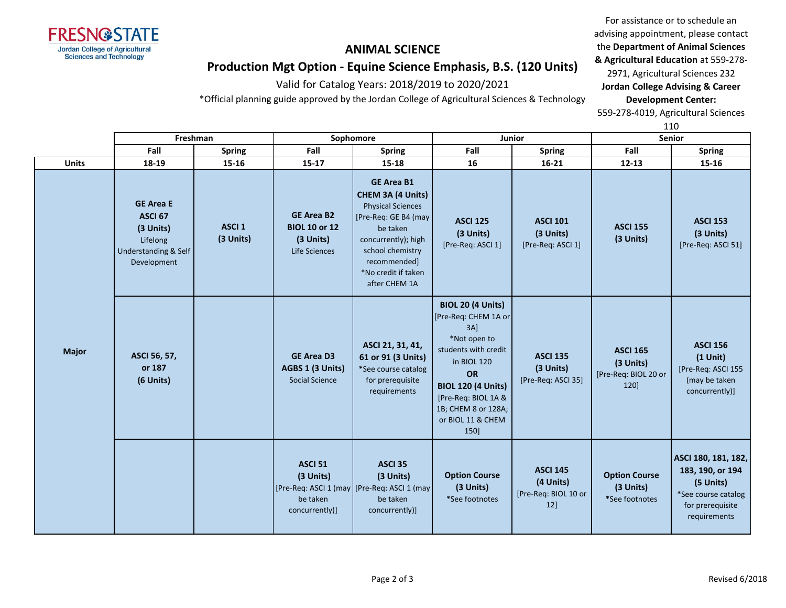

advising appointment, please contact the **Department of Animal Sciences & Agricultural Education** at 559-278-

For assistance or to schedule an

# **Production Mgt Option - Equine Science Emphasis, B.S. (120 Units)**

Valid for Catalog Years: 2018/2019 to 2020/2021

\*Official planning guide approved by the Jordan College of Agricultural Sciences & Technology

**Development Center:** 559-278-4019, Agricultural Sciences

2971, Agricultural Sciences 232 **Jordan College Advising & Career** 

110

|              | Freshman                                                                                               |                                | Sophomore                                                               |                                                                                                                                                                                                           | <b>Junior</b>                                                                                                                                                                                                                       |                                                             | <b>Senior</b>                                                |                                                                                                                 |
|--------------|--------------------------------------------------------------------------------------------------------|--------------------------------|-------------------------------------------------------------------------|-----------------------------------------------------------------------------------------------------------------------------------------------------------------------------------------------------------|-------------------------------------------------------------------------------------------------------------------------------------------------------------------------------------------------------------------------------------|-------------------------------------------------------------|--------------------------------------------------------------|-----------------------------------------------------------------------------------------------------------------|
|              | Fall                                                                                                   | <b>Spring</b>                  | Fall                                                                    | <b>Spring</b>                                                                                                                                                                                             | Fall                                                                                                                                                                                                                                | <b>Spring</b>                                               | Fall                                                         | <b>Spring</b>                                                                                                   |
| <b>Units</b> | 18-19                                                                                                  | 15-16                          | $15 - 17$                                                               | 15-18                                                                                                                                                                                                     | 16                                                                                                                                                                                                                                  | $16 - 21$                                                   | $12 - 13$                                                    | 15-16                                                                                                           |
|              | <b>GE Area E</b><br>ASCI <sub>67</sub><br>(3 Units)<br>Lifelong<br>Understanding & Self<br>Development | ASCI <sub>1</sub><br>(3 Units) | <b>GE Area B2</b><br><b>BIOL 10 or 12</b><br>(3 Units)<br>Life Sciences | <b>GE Area B1</b><br>CHEM 3A (4 Units)<br><b>Physical Sciences</b><br>[Pre-Req: GE B4 (may<br>be taken<br>concurrently); high<br>school chemistry<br>recommended]<br>*No credit if taken<br>after CHEM 1A | <b>ASCI 125</b><br>(3 Units)<br>[Pre-Req: ASCI 1]                                                                                                                                                                                   | <b>ASCI 101</b><br>(3 Units)<br>[Pre-Req: ASCI 1]           | <b>ASCI 155</b><br>(3 Units)                                 | <b>ASCI 153</b><br>(3 Units)<br>[Pre-Req: ASCI 51]                                                              |
| <b>Major</b> | ASCI 56, 57,<br>or 187<br>(6 Units)                                                                    |                                | <b>GE Area D3</b><br>AGBS 1 (3 Units)<br><b>Social Science</b>          | ASCI 21, 31, 41,<br>61 or 91 (3 Units)<br>*See course catalog<br>for prerequisite<br>requirements                                                                                                         | <b>BIOL 20 (4 Units)</b><br>[Pre-Req: CHEM 1A or<br>3AI<br>*Not open to<br>students with credit<br>in BIOL 120<br><b>OR</b><br><b>BIOL 120 (4 Units)</b><br>[Pre-Req: BIOL 1A &<br>1B; CHEM 8 or 128A;<br>or BIOL 11 & CHEM<br>150] | <b>ASCI 135</b><br>(3 Units)<br>[Pre-Req: ASCI 35]          | <b>ASCI 165</b><br>(3 Units)<br>[Pre-Req: BIOL 20 or<br>120] | <b>ASCI 156</b><br>$(1$ Unit)<br>[Pre-Req: ASCI 155<br>(may be taken<br>concurrently)]                          |
|              |                                                                                                        |                                | <b>ASCI 51</b><br>(3 Units)<br>be taken<br>concurrently)]               | <b>ASCI 35</b><br>(3 Units)<br>[Pre-Req: ASCI 1 (may   [Pre-Req: ASCI 1 (may<br>be taken<br>concurrently)]                                                                                                | <b>Option Course</b><br>(3 Units)<br>*See footnotes                                                                                                                                                                                 | <b>ASCI 145</b><br>(4 Units)<br>[Pre-Req: BIOL 10 or<br>12] | <b>Option Course</b><br>(3 Units)<br>*See footnotes          | ASCI 180, 181, 182,<br>183, 190, or 194<br>(5 Units)<br>*See course catalog<br>for prerequisite<br>requirements |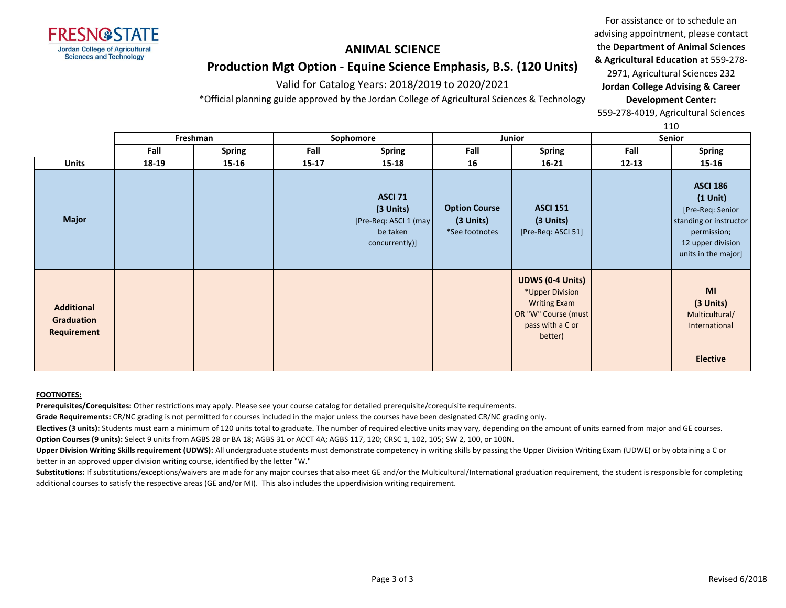

#### For assistance or to schedule an advising appointment, please contact the **Department of Animal Sciences & Agricultural Education** at 559-278-

# **Production Mgt Option - Equine Science Emphasis, B.S. (120 Units)**

Valid for Catalog Years: 2018/2019 to 2020/2021

\*Official planning guide approved by the Jordan College of Agricultural Sciences & Technology

**Jordan College Advising & Career Development Center:**

2971, Agricultural Sciences 232

559-278-4019, Agricultural Sciences

110

|                                                |                                 |        |           |                                                                                    |                                                     |                                                                                                                         |           | TTO                                                                                                                                       |
|------------------------------------------------|---------------------------------|--------|-----------|------------------------------------------------------------------------------------|-----------------------------------------------------|-------------------------------------------------------------------------------------------------------------------------|-----------|-------------------------------------------------------------------------------------------------------------------------------------------|
|                                                | Sophomore<br>Freshman<br>Junior |        |           | <b>Senior</b>                                                                      |                                                     |                                                                                                                         |           |                                                                                                                                           |
|                                                | Fall                            | Spring | Fall      | <b>Spring</b>                                                                      | Fall                                                | <b>Spring</b>                                                                                                           | Fall      | <b>Spring</b>                                                                                                                             |
| <b>Units</b>                                   | 18-19                           | 15-16  | $15 - 17$ | $15 - 18$                                                                          | 16                                                  | $16 - 21$                                                                                                               | $12 - 13$ | 15-16                                                                                                                                     |
| <b>Major</b>                                   |                                 |        |           | <b>ASCI 71</b><br>(3 Units)<br>[Pre-Req: ASCI 1 (may<br>be taken<br>concurrently)] | <b>Option Course</b><br>(3 Units)<br>*See footnotes | <b>ASCI 151</b><br>$(3$ Units)<br>[Pre-Req: ASCI 51]                                                                    |           | <b>ASCI 186</b><br>$(1$ Unit $)$<br>[Pre-Req: Senior<br>standing or instructor<br>permission;<br>12 upper division<br>units in the major] |
| <b>Additional</b><br>Graduation<br>Requirement |                                 |        |           |                                                                                    |                                                     | <b>UDWS (0-4 Units)</b><br>*Upper Division<br><b>Writing Exam</b><br>OR "W" Course (must<br>pass with a C or<br>better) |           | MI<br>(3 Units)<br>Multicultural/<br>International                                                                                        |
|                                                |                                 |        |           |                                                                                    |                                                     |                                                                                                                         |           | <b>Elective</b>                                                                                                                           |

#### **FOOTNOTES:**

**Prerequisites/Corequisites:** Other restrictions may apply. Please see your course catalog for detailed prerequisite/corequisite requirements.

**Grade Requirements:** CR/NC grading is not permitted for courses included in the major unless the courses have been designated CR/NC grading only.

**Electives (3 units):** Students must earn a minimum of 120 units total to graduate. The number of required elective units may vary, depending on the amount of units earned from major and GE courses. **Option Courses (9 units):** Select 9 units from AGBS 28 or BA 18; AGBS 31 or ACCT 4A; AGBS 117, 120; CRSC 1, 102, 105; SW 2, 100, or 100N.

**Upper Division Writing Skills requirement (UDWS):** All undergraduate students must demonstrate competency in writing skills by passing the Upper Division Writing Exam (UDWE) or by obtaining a C or better in an approved upper division writing course, identified by the letter "W."

Substitutions: If substitutions/exceptions/waivers are made for any major courses that also meet GE and/or the Multicultural/International graduation requirement, the student is responsible for completing additional courses to satisfy the respective areas (GE and/or MI). This also includes the upperdivision writing requirement.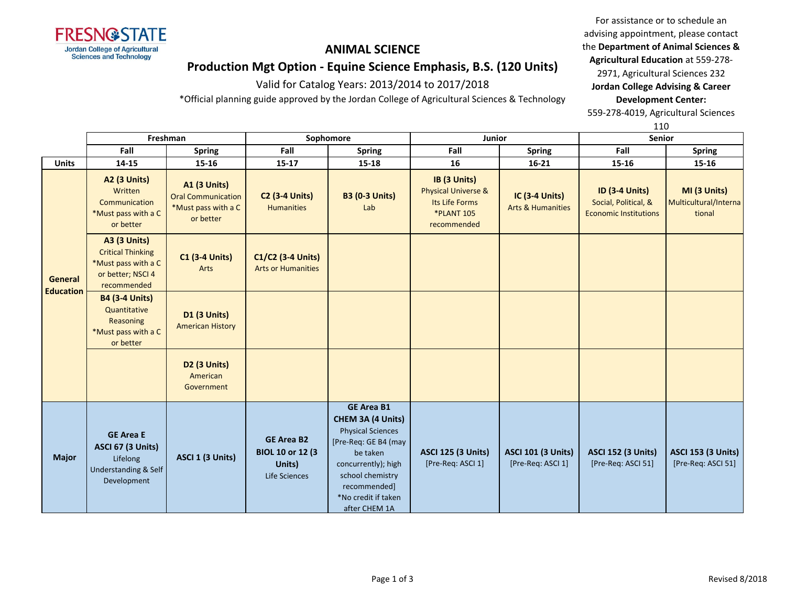

**Production Mgt Option - Equine Science Emphasis, B.S. (120 Units)**

Valid for Catalog Years: 2013/2014 to 2017/2018

\*Official planning guide approved by the Jordan College of Agricultural Sciences & Technology

For assistance or to schedule an advising appointment, please contact the **Department of Animal Sciences & Agricultural Education** at 559-278- 2971, Agricultural Sciences 232

**Jordan College Advising & Career Development Center:**

559-278-4019, Agricultural Sciences

110 **Freshman Sophomore Junior Senior**

|                             | Fall                                                                                                       | <b>Spring</b>                                                                        | Fall                                                                     | <b>Spring</b>                                                                                                                                                                                             | Fall                                                                                                 | <b>Spring</b>                                         | Fall                                                                          | <b>Spring</b>                                   |
|-----------------------------|------------------------------------------------------------------------------------------------------------|--------------------------------------------------------------------------------------|--------------------------------------------------------------------------|-----------------------------------------------------------------------------------------------------------------------------------------------------------------------------------------------------------|------------------------------------------------------------------------------------------------------|-------------------------------------------------------|-------------------------------------------------------------------------------|-------------------------------------------------|
| <b>Units</b>                | 14-15                                                                                                      | $15 - 16$                                                                            | $15 - 17$                                                                | 15-18                                                                                                                                                                                                     | 16                                                                                                   | $16 - 21$                                             | $15 - 16$                                                                     | 15-16                                           |
| General<br><b>Education</b> | <b>A2 (3 Units)</b><br>Written<br>Communication<br>*Must pass with a C<br>or better                        | <b>A1 (3 Units)</b><br><b>Oral Communication</b><br>*Must pass with a C<br>or better | <b>C2 (3-4 Units)</b><br><b>Humanities</b>                               | <b>B3 (0-3 Units)</b><br>Lab                                                                                                                                                                              | IB (3 Units)<br><b>Physical Universe &amp;</b><br>Its Life Forms<br><b>*PLANT 105</b><br>recommended | <b>IC (3-4 Units)</b><br><b>Arts &amp; Humanities</b> | <b>ID (3-4 Units)</b><br>Social, Political, &<br><b>Economic Institutions</b> | MI (3 Units)<br>Multicultural/Interna<br>tional |
|                             | <b>A3 (3 Units)</b><br><b>Critical Thinking</b><br>*Must pass with a C<br>or better; NSCI 4<br>recommended | <b>C1 (3-4 Units)</b><br>Arts                                                        | C1/C2 (3-4 Units)<br><b>Arts or Humanities</b>                           |                                                                                                                                                                                                           |                                                                                                      |                                                       |                                                                               |                                                 |
|                             | <b>B4 (3-4 Units)</b><br>Quantitative<br>Reasoning<br>*Must pass with a C<br>or better                     | <b>D1 (3 Units)</b><br><b>American History</b>                                       |                                                                          |                                                                                                                                                                                                           |                                                                                                      |                                                       |                                                                               |                                                 |
|                             |                                                                                                            | <b>D2 (3 Units)</b><br>American<br>Government                                        |                                                                          |                                                                                                                                                                                                           |                                                                                                      |                                                       |                                                                               |                                                 |
| <b>Major</b>                | <b>GE Area E</b><br><b>ASCI 67 (3 Units)</b><br>Lifelong<br><b>Understanding &amp; Self</b><br>Development | ASCI 1 (3 Units)                                                                     | <b>GE Area B2</b><br><b>BIOL 10 or 12 (3)</b><br>Units)<br>Life Sciences | <b>GE Area B1</b><br>CHEM 3A (4 Units)<br><b>Physical Sciences</b><br>[Pre-Req: GE B4 (may<br>be taken<br>concurrently); high<br>school chemistry<br>recommended]<br>*No credit if taken<br>after CHEM 1A | <b>ASCI 125 (3 Units)</b><br>[Pre-Req: ASCI 1]                                                       | <b>ASCI 101 (3 Units)</b><br>[Pre-Req: ASCI 1]        | <b>ASCI 152 (3 Units)</b><br>[Pre-Req: ASCI 51]                               | <b>ASCI 153 (3 Units)</b><br>[Pre-Req: ASCI 51] |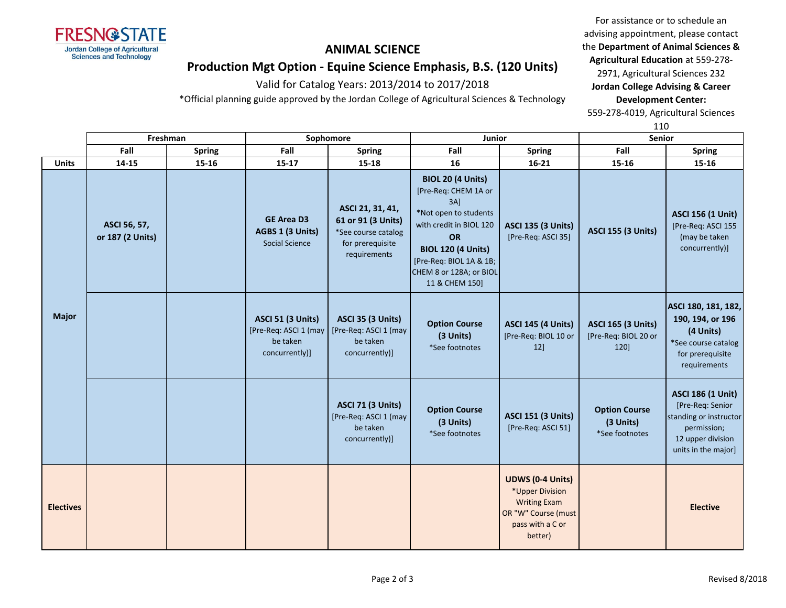

advising appointment, please contact the **Department of Animal Sciences & Agricultural Education** at 559-278- 2971, Agricultural Sciences 232 **Jordan College Advising & Career** 

For assistance or to schedule an

**Production Mgt Option - Equine Science Emphasis, B.S. (120 Units)**

Valid for Catalog Years: 2013/2014 to 2017/2018

\*Official planning guide approved by the Jordan College of Agricultural Sciences & Technology

**Development Center:** 559-278-4019, Agricultural Sciences

110

|                  | Freshman                         |               |                                                                                 | Sophomore                                                                                         | Junior                                                                                                                                                                                                                        |                                                                                                                         | <b>Senior</b>                                             |                                                                                                                                   |
|------------------|----------------------------------|---------------|---------------------------------------------------------------------------------|---------------------------------------------------------------------------------------------------|-------------------------------------------------------------------------------------------------------------------------------------------------------------------------------------------------------------------------------|-------------------------------------------------------------------------------------------------------------------------|-----------------------------------------------------------|-----------------------------------------------------------------------------------------------------------------------------------|
|                  | Fall                             | <b>Spring</b> | Fall                                                                            | <b>Spring</b>                                                                                     | Fall                                                                                                                                                                                                                          | <b>Spring</b>                                                                                                           | Fall                                                      | <b>Spring</b>                                                                                                                     |
| <b>Units</b>     | $14 - 15$                        | 15-16         | $15 - 17$                                                                       | $15 - 18$                                                                                         | 16                                                                                                                                                                                                                            | $16 - 21$                                                                                                               | 15-16                                                     | 15-16                                                                                                                             |
| <b>Major</b>     | ASCI 56, 57,<br>or 187 (2 Units) |               | <b>GE Area D3</b><br>AGBS 1 (3 Units)<br><b>Social Science</b>                  | ASCI 21, 31, 41,<br>61 or 91 (3 Units)<br>*See course catalog<br>for prerequisite<br>requirements | <b>BIOL 20 (4 Units)</b><br>[Pre-Req: CHEM 1A or<br>3AI<br>*Not open to students<br>with credit in BIOL 120<br><b>OR</b><br><b>BIOL 120 (4 Units)</b><br>[Pre-Req: BIOL 1A & 1B;<br>CHEM 8 or 128A; or BIOL<br>11 & CHEM 150] | <b>ASCI 135 (3 Units)</b><br>[Pre-Req: ASCI 35]                                                                         | <b>ASCI 155 (3 Units)</b>                                 | <b>ASCI 156 (1 Unit)</b><br>[Pre-Req: ASCI 155<br>(may be taken<br>concurrently)]                                                 |
|                  |                                  |               | <b>ASCI 51 (3 Units)</b><br>[Pre-Req: ASCI 1 (may<br>be taken<br>concurrently)] | <b>ASCI 35 (3 Units)</b><br>[Pre-Req: ASCI 1 (may<br>be taken<br>concurrently)]                   | <b>Option Course</b><br>(3 Units)<br>*See footnotes                                                                                                                                                                           | <b>ASCI 145 (4 Units)</b><br>[Pre-Req: BIOL 10 or<br>12]                                                                | <b>ASCI 165 (3 Units)</b><br>[Pre-Req: BIOL 20 or<br>120] | ASCI 180, 181, 182,<br>190, 194, or 196<br>(4 Units)<br>*See course catalog<br>for prerequisite<br>requirements                   |
|                  |                                  |               |                                                                                 | <b>ASCI 71 (3 Units)</b><br>[Pre-Req: ASCI 1 (may<br>be taken<br>concurrently)]                   | <b>Option Course</b><br>(3 Units)<br>*See footnotes                                                                                                                                                                           | <b>ASCI 151 (3 Units)</b><br>[Pre-Req: ASCI 51]                                                                         | <b>Option Course</b><br>(3 Units)<br>*See footnotes       | <b>ASCI 186 (1 Unit)</b><br>[Pre-Req: Senior<br>standing or instructor<br>permission;<br>12 upper division<br>units in the major] |
| <b>Electives</b> |                                  |               |                                                                                 |                                                                                                   |                                                                                                                                                                                                                               | <b>UDWS (0-4 Units)</b><br>*Upper Division<br><b>Writing Exam</b><br>OR "W" Course (must<br>pass with a C or<br>better) |                                                           | <b>Elective</b>                                                                                                                   |